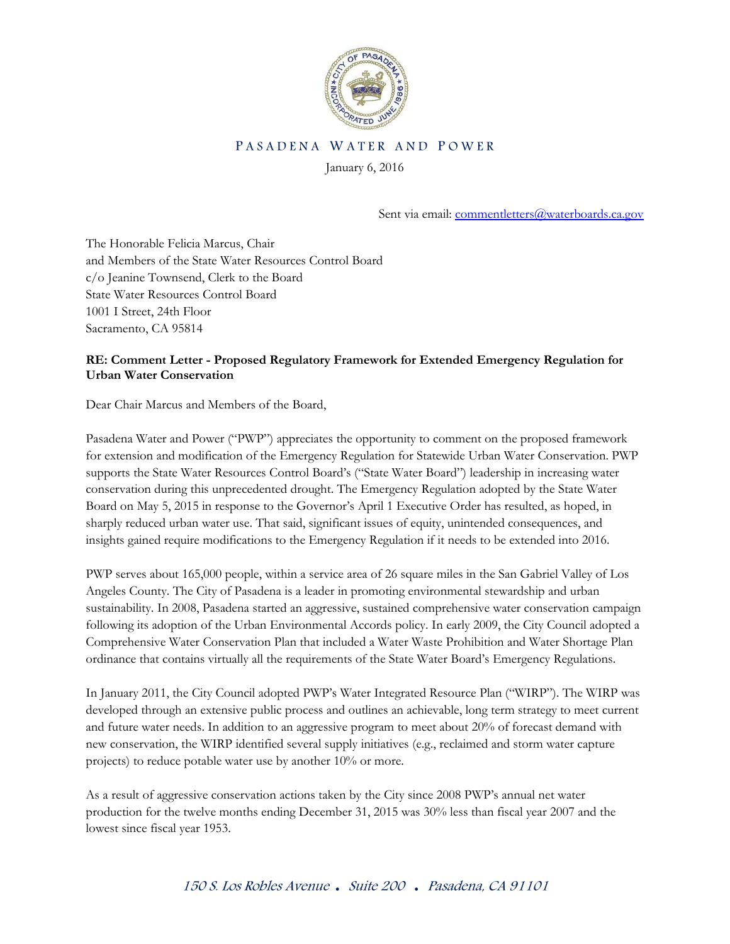

## PASADENA WATER AND POWER

January 6, 2016

Sent via email: [commentletters@waterboards.ca.gov](mailto:commentletters@waterboards.ca.gov)

The Honorable Felicia Marcus, Chair and Members of the State Water Resources Control Board c/o Jeanine Townsend, Clerk to the Board State Water Resources Control Board 1001 I Street, 24th Floor Sacramento, CA 95814

# **RE: Comment Letter - Proposed Regulatory Framework for Extended Emergency Regulation for Urban Water Conservation**

Dear Chair Marcus and Members of the Board,

Pasadena Water and Power ("PWP") appreciates the opportunity to comment on the proposed framework for extension and modification of the Emergency Regulation for Statewide Urban Water Conservation. PWP supports the State Water Resources Control Board's ("State Water Board") leadership in increasing water conservation during this unprecedented drought. The Emergency Regulation adopted by the State Water Board on May 5, 2015 in response to the Governor's April 1 Executive Order has resulted, as hoped, in sharply reduced urban water use. That said, significant issues of equity, unintended consequences, and insights gained require modifications to the Emergency Regulation if it needs to be extended into 2016.

PWP serves about 165,000 people, within a service area of 26 square miles in the San Gabriel Valley of Los Angeles County. The City of Pasadena is a leader in promoting environmental stewardship and urban sustainability. In 2008, Pasadena started an aggressive, sustained comprehensive water conservation campaign following its adoption of the Urban Environmental Accords policy. In early 2009, the City Council adopted a Comprehensive Water Conservation Plan that included a Water Waste Prohibition and Water Shortage Plan ordinance that contains virtually all the requirements of the State Water Board's Emergency Regulations.

In January 2011, the City Council adopted PWP's Water Integrated Resource Plan ("WIRP"). The WIRP was developed through an extensive public process and outlines an achievable, long term strategy to meet current and future water needs. In addition to an aggressive program to meet about 20% of forecast demand with new conservation, the WIRP identified several supply initiatives (e.g., reclaimed and storm water capture projects) to reduce potable water use by another 10% or more.

As a result of aggressive conservation actions taken by the City since 2008 PWP's annual net water production for the twelve months ending December 31, 2015 was 30% less than fiscal year 2007 and the lowest since fiscal year 1953.